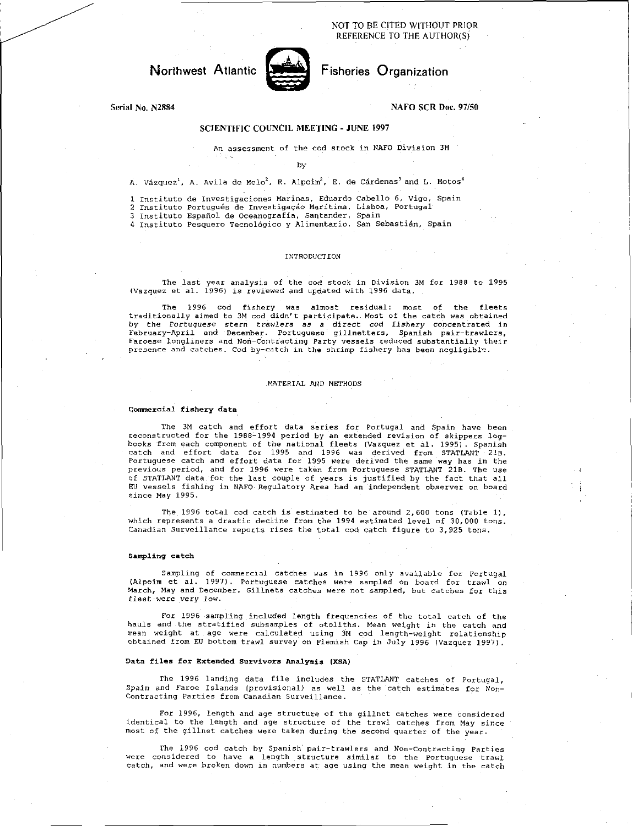NOT TO BE CITED WITHOUT PRIOR REFERENCE TO THE AUTHOR(S)

# Northwest Atlantic Fisheries Organization



### Serial No. N2884 NAFO SCR Doc. 97/50

# SCIENTIFIC COUNCIL MEETING - JUNE 1997

An assessment of the cod stock in NAFO Division 3M

#### by

A. Vázquez<sup>1</sup>, A. Avila de Melo<sup>2</sup>, R. Alpoim<sup>2</sup>, E. de Cárdenas<sup>3</sup> and L. Motos<sup>4</sup>

1 Institute de Investigaciones Marinas, Eduardo Cabello 6, Vigo, Spain 2 Instituto Portugués de Investigação Marítima, Lisboa, Portugal

3 Instituto Español de Oceanografía, Santander, Spain<br>4 Instituto Pesquero Tecnológico y Alimentario, San Sebastián, Spain

#### INTRODUCTION

The last year analysis of the cod stock in Division 3M for 1988 to 1995 (Vazquez at al. 1996) is reviewed and updated with 1996 data.

The 1996 cod fishery was almost residual: most of the fleets traditionally aimed to 3M cod didn't participate. Most of the catch was obtained<br>by the *Portuguese stern trawlers as a direct co*d fi*shery c*oncentrated in<br>February-April and December. Portuguese gillnetters, Spanish pai Faroese longliners and Non-Contracting Party vessels reduced substantially their presence and catches. Cod by-catch in the shrimp fishery has been negligible.

#### MATERIAL AND METHODS

#### Commercial fishery data

The 3M catch and effort data series for Portugal and Spain have been reconstructed for the 1988-1994 period by an extended revision of skippers log-books from each component of the national fleets (Vazquez et al. 1995). Spanish catch and effort data for 1995 and 1996 was derived from STATLANT 21B. Portuguese catch and effort data for 1995 were derived the same way has in the previous period, and for 1996 were taken from Portuguese STATLANT 21B. The use of STATLANT data fot the last couple of years is justified by the fact that all EU vessels fishing in NAFO Regulatory Area had an independent observer on board since May 1995.

The 1996 total cod catch is estimated to be around  $2,600$  tons (Table 1), which represents a drastic decline from the 1994 estimated level of 30,000 tons. Canadian Surveillance reports rises the total cod catch figure to 3,925 tons.

#### Sampling catch

Sampling of commercial catches *was* in 1996 only available for Portugal (Alpoim et al. 1997). Portuguese catches were sampled on board for trawl on March, May and December. Gillnets catches were not sampled, but catches for this *fleet* were very *low.* 

For 1996 sampling included length frequencies of the total catch of the hauls and the stratified subsamples of otoliths. Mean weight in the catch and mean weight at age were calculated using 3M cod length-weight relationship obtained from EU bottom trawl survey on Flemish Cap in July 1996 (Vazquez 1997).

### Data files for Extended Survivors Analysis (XSA)

The 1996 landing data file includes the STATLANT catches of Portugal, Spain and Faroe Islands (provisional) as well as the catch estimates for Non-Contracting Parties from Canadian Surveillance.

For 1996, length and age structure of the gillnet catches were considered identical to the length and age structure of the trawl catches from May since most of the gillnet catches were taken during the second quarter of the year.

The 1996 cod catch by Spanish'pair-trawlers and Non-Contracting Parties were considered to have a length structure similar to the Portuguese trawl catch, and were broken down in numbers at age using the mean weight in the catch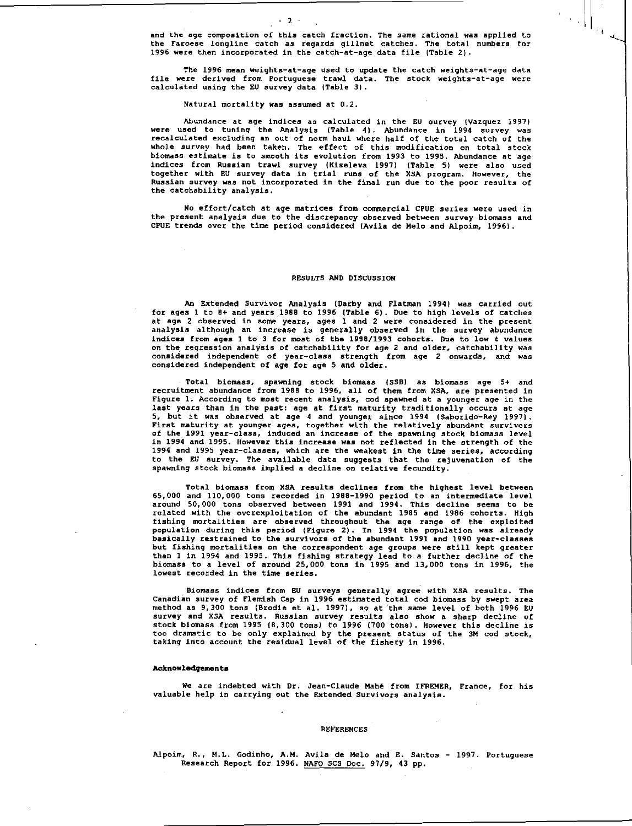and the age composition of this catch fraction. The same rational was applied to the Faroese longline catch as regards gillnet catches. The total numbers for 1996 were then incorporated in the catch-at-age data file (Table 2).

The 1996 mean weights-at-age used to update the catch weights-at-age data file were derived from Portuguese trawl data. The stock weights-at-age were calculated using the EU survey data (Table 3).

#### Natural mortality *was* assumed at 0.2.

- 2 -

Abundance at age indices as calculated in the EU survey (Vazquez 1997) were used to tuning the Analysis (Table 4). Abundance in 1994 survey was recalculated excluding an out of norm haul where half of the total catch of the whole survey had been taken. The effect of this modification on total stock biomass estimate is to smooth its evolution from 1993 to 1995. Abundance at age indices from Russian trawl survey (Kiseleva 1997) (Table 5) were also used together with EU survey data in trial runs of the XSA program. However, the Russian survey *was* not incorporated in the final run due to the poor results of the catchability analysis.

No effort/catch at age matrices from commercial CPUE series were used in the present analysis due to the discrepancy observed between survey biomass and CPUE trends over the time period considered (Avila de Melo and Alpoim, 1996).

#### RESULTS AND DISCUSSION

An Extended Survivor Analysis (Darby and Flatman 1994) was carried out for ages 1 to 8+ and years 1988 to 1996 (Table 6). Due to high levels of catches at age 2 observed in some years, ages 1 and 2 were considered in the present analysis although an increase is generally observed in the survey abundance indices from ages 1 to 3 for most of the 1988/1993 cohorts. Due to low t values on the regression analysis of catchability for age 2 and older, catchability was considered independent *of* year-class strength from age 2 onwards, and was considered independent of age for age 5 and older.

Total biomass, spawning stock biomass (SSB) as biomass age 5+ and recruitment abundance from 1988 to 1996, all of them from XSA, are presented in Figure 1. According to most recent analysis, cod spawned at a younger age in the last years than in the past: age at first maturity traditionally occurs at age 5, but it was observed at age 4 and younger since 1994 (Saborido-Rey 1997). First maturity at younger ages, together with the relatively abundant survivors of the 1991 year-class, induced an increase of the spawning stock biomass level in 1994 and 1995. However this increase was not reflected in the strength of the 1994 and 1995 year-classes, which are the weakest in the time series, according to the EU survey. The available data suggests that the rejuvenation of the spawning stock biomass implied a decline on relative fecundity.

Total biomass from XSA results declines from the highest level between 65,000 and 110,000 tons recorded in 1988-1990 period to an intermediate level around 50,000 tons observed between 1991 and 1994. This decline seems to be related with the overexploitation of the abundant 1985 and 1986 cohorts. High fishing mortalities are observed throughout the age range of the exploited population during this period (Figure 2). In 1994 the population was already basically restrained to the survivors *of* the abundant 1991 *and* 1990 year-classes but fishing mortalities on the correspondent age groups were still kept greater than 1 in 1994 and 1995. This fishing strategy lead to a further decline of the biomass to a level of around 25,000 tons in 1995 and 13,000 tons in 1996, the lowest recorded in the time series.

Biomass indices from EU surveys generally agree with XSA results. The Canadian survey of Flemish Cap in 1996 estimated total cod biomass by swept area method as 9,300 tons (Brodie et al. 1997), so at the same level of both 1996 EU survey and XSA results. Russian survey results also show a sharp decline of stock biomass from 1995 (8,300 tons) to 1996 (700 tons). However this decline is too dramatic to be only explained by the present status of the 3M cod stock, taking into account the residual level *of* the fishery in 1996.

#### **Acknowledgements**

We are indebted with Dr. Jean-Claude Mahe from IFREMER, France, for his valuable help in carrying out the Extended Survivors analysis.

#### REFERENCES

Alpoim, R., M.L. Godinho, A.M. Avila de Melo and E. Santos - 1997. Portuguese Research Report for 1996. NAFO SCS Doc. 97/9, 43 pp.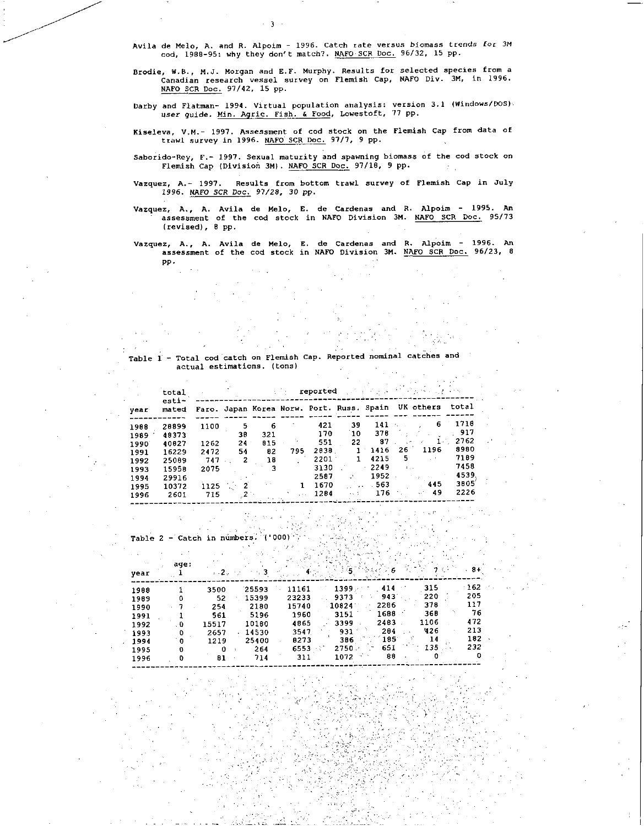Avila de Melo, A. and R. Alpoim - 1996. Catch rate versus biomass trends for 3M cod, 1988-95: why they don't match?. NAFO SCR Doc. 96/32, 15 pp.

- 3 -

- Brodie, W.B., M.J. Morgan and E.F. Murphy. Results for selected species from a Canadian research vessel survey on Flemish Cap, NAFO Div. 3M, in 1996. NAFO SCR Doc.97/42, 15 pp.
- Darby and Flatman- 1994. Virtual population analysis: version 3.1 (Windows/DOS): user guide. Min. Agric. Fish. & Food, Lowestoft, 77 pp.
- Kiseleva, V.M.- 1997. Assessment of cod stock on the Flemish Cap from data of trawl survey in 1996. NAFO SCR Doc.97/7, 9 pp.
- Saborido-Rey, F.- 1997. Sexual maturity and spawning biomass of the cod stock on Flemish Cap (Division 3M). NAFO SCR Doc.97/18, 9 pp.
- Vazquez, A.- 1997. Results from bottom trawl survey of Flemish Cap in July 1996. *NAFO SCR Doc.* 97/28, 30 pp.
- Vazquez, A., A. Avila de Melo, E. de Cardenas and R. Alpoim 1995. An assessment of the cod stock in NAFO Division 3M. NAFO SCR Doc. 95/73 (revised), 8 pp.
- Vazquez, A., A. Avila de Melo, E. de Cardenas and R. Alpoim 1996. An<br>assessment of the cod stock in NAFO Division 3M. <u>NAFO SCR Doc.</u> 96/23, 8 pp.

### Table 1 - Total cod catch on Flemish Cap. Reported nominal catches and actual estimations. (tons)

|      | total          | reported<br>المحاوية كالمعارفة |    |     |     |          |      |                                           |         | and with a state of the |       |
|------|----------------|--------------------------------|----|-----|-----|----------|------|-------------------------------------------|---------|-------------------------|-------|
| year | esti-<br>mated |                                |    |     |     |          |      | Faro. Japan Korea Norw. Port. Russ. Spain |         | UK others               | total |
| 1988 | 28899          | 1100                           | 5  | 6   |     | 421      | 39   | 141                                       |         | 6                       | 1716  |
| 1989 | 48373          |                                | 38 | 321 |     | 170      | 10   | 378                                       |         |                         | 917   |
| 1990 | 40827          | 1262                           | 24 | 815 | ٠.  | 551      | 22   | 87                                        |         | 1.                      | 2762  |
| 1991 | 16229          | 2472                           | 54 | 82  | 795 | 2038     |      | 1416                                      | 26      | 1196                    | 8980  |
| 1992 | 25089          | 747                            | 2  | 18  |     | $2201 -$ |      | 4215                                      | 5       | $\sim$ 10               | 7189  |
| 1993 | 15958          | 2075                           |    | 3   |     | 3130     |      | 2249                                      | $k = 1$ |                         | 7458  |
| 1994 | 29916          |                                |    |     |     | 2587     |      | 1952                                      |         |                         | 4539  |
| 1995 | 10372          | 1125                           | 2  |     |     | 1670     |      | 563                                       |         | 445                     | 3005  |
| 1996 | 2601           | 715                            |    |     |     | 1284     | 24 T | 176                                       |         | 49                      | 2226  |

Table 2 - Catch in numbers.  $000)$ 70

|      | age:         |         |       |       |          |      |      |     |
|------|--------------|---------|-------|-------|----------|------|------|-----|
| vear |              | $5-2$ . |       |       |          |      |      | 84  |
| 1998 |              | 3500    | 25593 | 11161 | 1399     | 414  | 315  | 162 |
| 1989 |              | 52      | 15399 | 23233 | 9373     | 943  | 220  | 205 |
| 1990 |              | 254     | 2180  | 15740 | 10824    | 2286 | 378  | 117 |
| 1991 |              | 561     | 5196  | 1960  | 3151     | 1688 | 360  | 76  |
| 1992 | o            | 15517   | 10180 | 4865  | 3399     | 2483 | 1106 | 472 |
| 1993 | 0            | 2657    | 14530 | 3547. | 931      | 204  | 426  | 213 |
| 1994 | $\mathbf{0}$ | 1219    | 25400 | 8273  | 386      | 185  | 14   | 182 |
| 1995 | 0            | n       | 264   | 6553  | $2750 -$ | 651  | 135  | 232 |
| 1996 |              | 81      | 714   | 311   | 1072     | 88   |      |     |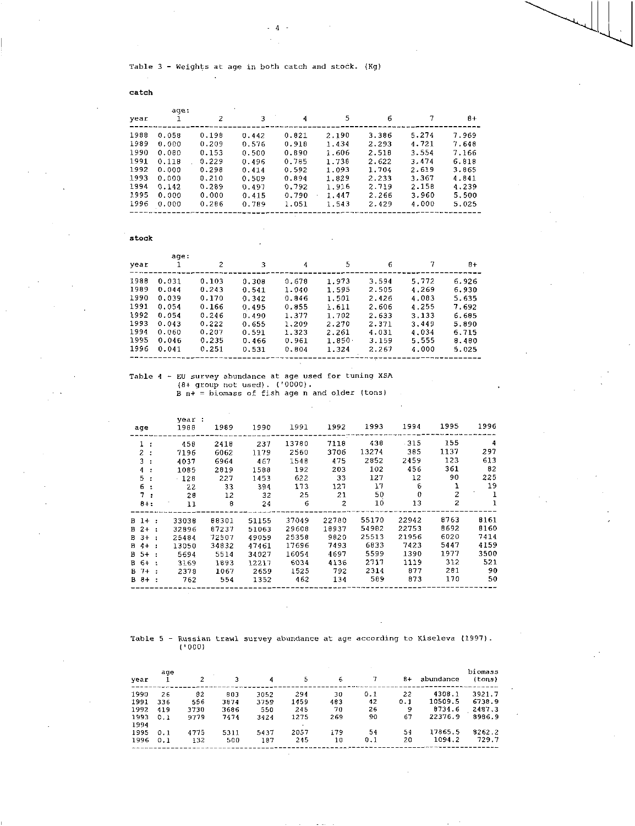Table 3 - Weights at age in both catch and stock. (Kg)

 $4 -$ 

catch

| age:  |       |       |       |       |       |       |       |
|-------|-------|-------|-------|-------|-------|-------|-------|
|       | 2     | 3     | 4     | 5     | 6     |       | 8+    |
| 0.058 | 0.198 | 0.442 | 0.821 | 2.190 | 3.386 | 5.274 | 7.969 |
| 0.000 | 0.209 | 0.576 | 0.918 | 1.434 | 2.293 | 4.721 | 7.648 |
| 0.080 | 0.153 | 0.500 | 0.890 | 1.606 | 2.518 | 3.554 | 7.166 |
| 0.118 | 0.229 | 0.496 | 0.785 | 1.738 | 2.622 | 3.474 | 6.818 |
| 0.000 | 0.298 | 0.414 | 0.592 | 1.093 | 1.704 | 2.619 | 3.865 |
| 0.000 | 0.210 | 0.509 | 0.894 | 1.829 | 2.233 | 3.367 | 4.841 |
| 0.142 | 0.289 | 0.497 | 0.792 | 1.916 | 2.719 | 2.158 | 4.239 |
| 0.000 | 0.000 | 0.415 | 0.790 | 1.447 | 2.266 | 3.960 | 5.500 |
| 0.000 | 0.286 | 0.789 | 1.051 | 1.543 | 2.429 | 4.000 | 5.025 |
|       |       |       |       |       |       |       |       |

stock

|      | age:  |       |       |       |               |       |       |       |
|------|-------|-------|-------|-------|---------------|-------|-------|-------|
| year |       | 2     | 3     | 4     | 5             | 6     | 7     | $B+$  |
| 1988 | 0.031 | 0.103 | 0.308 | 0.678 | 1.973         | 3.594 | 5.772 | 6.926 |
| 1989 | 0.044 | 0.243 | 0.541 | 1.040 | 1.595         | 2.505 | 4.269 | 6.930 |
| 1990 | 0.039 | 0.170 | 0.342 | 0.846 | 1.501         | 2.426 | 4.083 | 5.635 |
| 1991 | 0.054 | 0.166 | 0.495 | 0.055 | 1.611         | 2.606 | 4.255 | 7.692 |
| 1992 | 0.054 | 0.246 | 0.490 | 1.377 | 1.702         | 2.633 | 3.133 | 6.695 |
| 1993 | 0.043 | 0.222 | 0.655 | 1.209 | 2.270         | 2.371 | 3.449 | 5.890 |
| 1994 | 0.060 | 0.207 | 0.591 | 1.323 | 2.261         | 4.031 | 4.034 | 6.715 |
| 1995 | 0.046 | 0.235 | 0.466 | 0.961 | $1.850 \cdot$ | 3.159 | 5.555 | 8.480 |
| 1996 | 0.041 | 0.251 | 0.531 | 0.804 | 1.324         | 2.267 | 4.000 | 5.025 |
|      |       |       |       |       |               |       |       |       |

# Table 4 - EU survey abundance at age used for tuning X5A (8+ group not used). ('0000). B n+ - biomass of fish age n and older (tons)

| age           | vear:<br>1988 | 1989  | 1990  | 1991  | 1992           | 1993  | 1994         | 1995 | 1996 |
|---------------|---------------|-------|-------|-------|----------------|-------|--------------|------|------|
| 1 :           | 458           | 2418  | 237   | 13780 | 7118           | 438   | -315         | 155  | 4    |
| 2:            | 7196          | 6062  | 1179  | 2560  | 3706           | 13274 | 385          | 1137 | 297  |
| 3:            | 4037          | 6964  | 467   | 1548  | 475            | 2852  | 2459         | 123  | 613  |
| 4 :           | 1085          | 2819  | 1588  | 192   | 203            | 102   | 456          | 361  | 82   |
| 5:            | $-128$        | 227   | 1453  | 622   | 33             | 127   | 12           | 90   | 225  |
| 6 :           | 22            | 33    | 394   | 173   | 127            | 17    | 6            | ı    | 19   |
| 7 :           | 28            | -12   | -32   | 25    | 21             | 50    | $\mathbf{0}$ | 2    |      |
| $8 + :$       | 11            | 8     | 24    | 6     | $\overline{z}$ | 10    | 13           | 2    |      |
| $B_1 + \cdot$ | 33038         | 88301 | 51155 | 37049 | 22780          | 55170 | 22942        | 8763 | 8161 |
| $B$ 2+ :      | 32896         | 87237 | 51063 | 29608 | 18937          | 54982 | 22753        | 8692 | 8160 |
| $B$ $3+$ :    | 25484         | 72507 | 49059 | 25358 | 9820           | 25513 | 21956        | 6020 | 7414 |
| B 4+ :        | 13050         | 34832 | 47461 | 17696 | 7493           | 6833  | 7423         | 5447 | 4159 |
| $B = 5 + 1$   | 5694          | 5514  | 34027 | 16054 | 4697           | 5599  | 1390         | 1977 | 3500 |
| B 6+ :        | 3169          | 1893  | 12217 | 6034  | 4136           | 2717  | 1119         | 312  | 521  |
| $B$ 7+ :      | 2378          | 1067  | 2659  | 1525  | 792            | 2314  | 877          | 281  | 90   |
| B 8+          | 762           | 554   | 1352  | 462   | 134            | 589   | 873          | 170  | 50   |

J.

Table 5 - Russian trawl survey abundance at age according to Kiseleva (1997).<br>('000)

| vear | age |      |      | 4    | 5    | 6   |     | 8+  | abundance | biomass<br>(cons) |
|------|-----|------|------|------|------|-----|-----|-----|-----------|-------------------|
| 1990 | 26  | 82   | 803  | 3052 | 294  | 30  | 0.1 | 22  | 4308.1    | 3921.7            |
| 1991 | 336 | 556  | 3874 | 3759 | 1459 | 483 | 42  | 0.1 | 10509.5   | 6738.9            |
| 1992 | 419 | 3730 | 3686 | 550  | 245  | 70  | 26  | 9   | 8734.6    | 2487.3            |
| 1993 | 0.1 | 9779 | 7474 | 3424 | 1275 | 269 | 90  | 67  | 22376.9   | 8986.9            |
| 1994 |     |      |      |      |      |     |     |     |           |                   |
| 1995 | 0.1 | 4775 | 5311 | 5437 | 2057 | 179 | 54  | 54  | 17865.5   | 8262.2            |
| 1996 | 0.1 | 132  | 500  | 187  | 245  | 10  | 0.1 | 20  | 1094.2    | 729.7             |

 $\sim$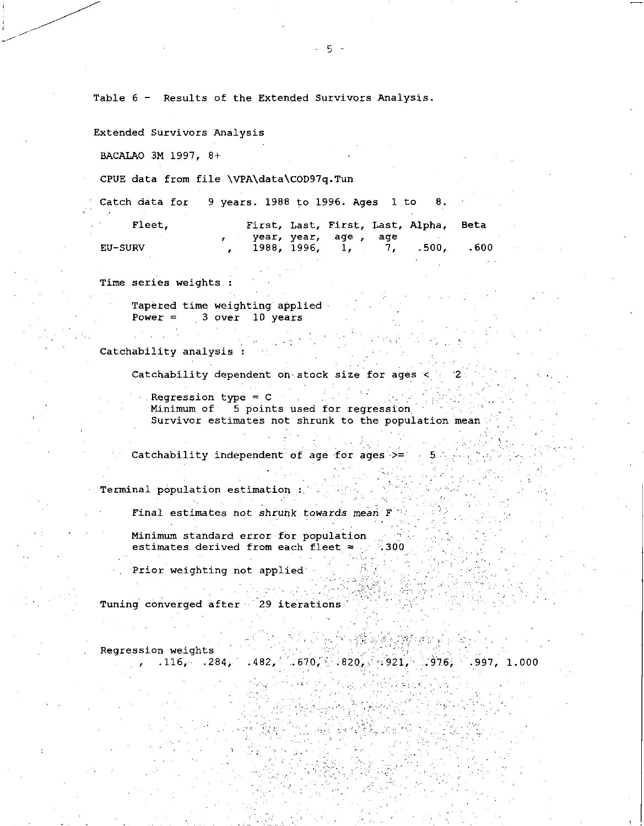Table 6 - Results of the Extended Survivors Analysis.

Extended Survivors Analysis

BACALAO 3M 1997, 8+

CPUE data from file \VPA\data\COD97q.Tun

Catch data for 9 years. 1988 to 1996. Ages 1 to 8.

| Fleet.         |                       |  | First, Last, First, Last, Alpha, Beta |  |
|----------------|-----------------------|--|---------------------------------------|--|
|                | year, year, age , age |  |                                       |  |
| <b>EU-SURV</b> |                       |  | 1988, 1996, 1, 7, 500, 600            |  |

Time series weights :

Tapered time weighting applied Power =  $3$  over 10 years

Catchability analysis :

Catchability dependent on stock size for ages  $\leq$ 

Regression type = C Minimum of 5 points used for regression Survivor estimates not shrunk to the population mean.

Catchability independent of age for ages  $>=$ 

Terminal population estimation\_:

Final estimates not shrunk *towards* 

Minimum standard error for population estimates derived from each fleet  $\equiv$ 

 $1.29933337$ 

Prior weighting not applied

Tuning converged after 29 iterations

Regression weights , .116, .284, .482, .670, .820, .3:921, .976, .997, 1.000

o stáiteoirí atá ainm a cheo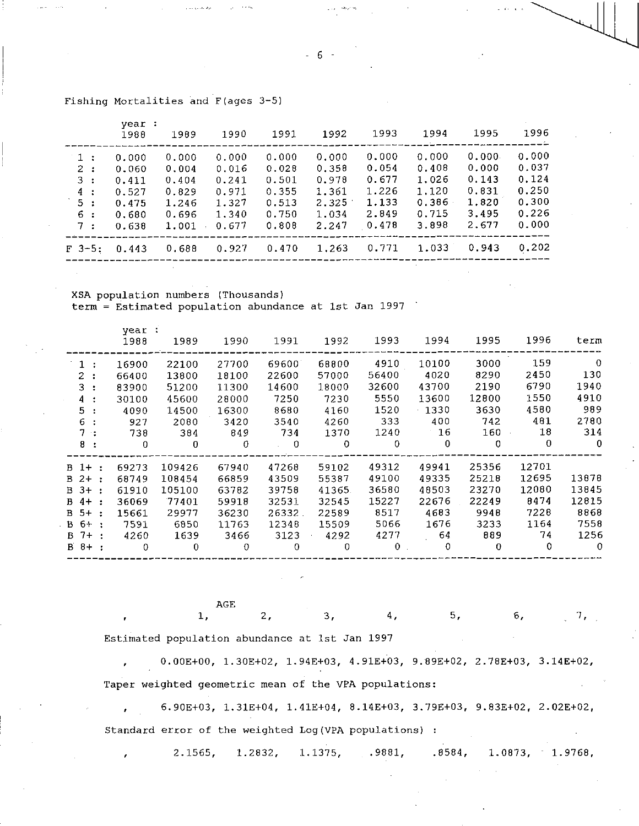|                                                                                               | year:<br>1988                                               | 1989                                                        | 1990                                                        | 1991                                                        | 1992                                                        | 1993                                                        | 1994                                                        | 1995                                                        | 1996                                                               |
|-----------------------------------------------------------------------------------------------|-------------------------------------------------------------|-------------------------------------------------------------|-------------------------------------------------------------|-------------------------------------------------------------|-------------------------------------------------------------|-------------------------------------------------------------|-------------------------------------------------------------|-------------------------------------------------------------|--------------------------------------------------------------------|
| 1:<br>2:<br>3<br>$\mathcal{L}$<br>4<br>$\mathbf{r}$<br>5.<br>$\cdot$<br>6.<br>$\cdot$ :<br>7: | 0.000<br>0.060<br>0.411<br>0.527<br>0.475<br>0.680<br>0.638 | 0.000<br>0.004<br>0.404<br>0.829<br>1.246<br>0.696<br>1.001 | 0.000<br>0.016<br>0.241<br>0.971<br>1.327<br>1.340<br>0.677 | 0.000<br>0.028<br>0.501<br>0.355<br>0.513<br>0.750<br>0.808 | 0.000<br>0.358<br>0.978<br>1.361<br>2.325<br>1.034<br>2.247 | 0.000<br>0.054<br>0.677<br>1.226<br>1.133<br>2.849<br>0.478 | 0.000<br>0.408<br>1.026<br>1.120<br>0.386<br>0.715<br>3.898 | 0.000<br>0.000<br>0.143<br>0.831<br>1.820<br>3.495<br>2.677 | ___<br>0.000<br>0.037<br>0.124<br>0.250<br>0.300<br>0.226<br>0.000 |
| $F = 3 - 5$ :                                                                                 | 0.443                                                       | 0.688                                                       | 0.927                                                       | 0.470                                                       | 1.263                                                       | 0.771                                                       | 1.033                                                       | 0.943                                                       | 0.202                                                              |

# Fishing Mortalities and F(ages 3-5)

XSA population numbers (Thousands) term = Estimated population abundance at 1st Jan 1997

|             |    | year :<br>1988 | 1989         | 1990        | 1991           | 1992     | 1993     | 1994     | 1995  | 1996        | term         |
|-------------|----|----------------|--------------|-------------|----------------|----------|----------|----------|-------|-------------|--------------|
| 1           |    | 16900          | 22100        | 27700       | 69600          | 68800    | 4910     | 10100    | 3000  | 159         | -0           |
| 2.          |    | 66400          | 13800        | 18100       | 22600          | 57000    | 56400    | 4020     | 8290  | 2450        | 130          |
| 3           |    | 83900          | 51200        | 11300       | 14600          | 18000    | 32600    | 43700    | 2190  | 6790        | 1940         |
|             | 4: | 30100          | 45600        | 28000       | 7250           | 7230     | 5550     | 13600    | 12800 | 1550        | 4910         |
| 5.          |    | 4090           | 14500        | 16300       | 8680           | 4160     | 1520     | 1330     | 3630  | 4580        | 989          |
| 6.          |    | 927            | 2080         | 3420        | 3540           | 4260     | 333      | 400      | 742   | 481         | 2780         |
|             | 7: | 738            | 384          | 849         | 734            | 1370     | 1240     | $-16$    | 160   | 18          | 314          |
| 8.          |    | $\mathbf{0}$   | $\bf{0}$     | 0           | $\sim 0$       | $\Omega$ | 0        | $\bf{0}$ | 0     | $\theta$    | $\mathbf{0}$ |
| $B_1 +$ :   |    | 69273          | 109426       | 67940       | 47268          | 59102    | 49312    | 49941    | 25356 | 12701       |              |
| $B$ 2+ :    |    | 68749          | 108454       | 66859       | 43509          | 55387    | 49100    | 49335    | 25218 | 12695       | 13878        |
| B 3+ :      |    | 61910          | 105100       | 63782       | 39758          | 41365.   | 36580    | 48503    | 23270 | 12080       | 13845        |
| $B \t 4+$ : |    | 36069          | 77401        | 59918       | 32531          | 32545    | 15227    | 22676    | 22249 | 8474        | 12815        |
| B 5+ :      |    | 15661          | 29977        | 36230       | 26332.         | 22589    | 8517     | 4683     | 9948  | 7228        | 8868         |
| B 6+ :      |    | 7591           | 6850         | 11763       | 12348          | 15509    | 5066     | 1676     | 3233  | 1164        | 7558         |
| $B$ $7+$ :  |    | 4260           | 1639         | 3466        | 3123           | 4292     | 4277     | 64       | 889   | 74          | 1256         |
| $B$ $B+$ :  |    | $\mathbf{0}$   | $\mathbf{0}$ | $\mathbf 0$ | $\overline{0}$ | $\Omega$ | $\theta$ | $\Omega$ | 0     | $\mathbf 0$ | $\mathbf{0}$ |

AGE

1, 2, 3, 4, 5, 6, 7,

Estimated population abundance at 1st Jan 1997

, 0.00E+00, 1.30E+02, 1.94E+03, 4.91E+03, 9.89E+02, 2.78E+03, 3.14E+02, Taper weighted geometric mean of the VPA populations:

, 6.90E+03, 1.31E+04, 1.41E+04, 8.14E+03, 3.79E+03, 9.83E+02, 2.02E+02, Standard error of the weighted Log(VPA populations) :

2.1565, 1.2832, 1.1375, .9881, .8584, 1.0873, 1.9768,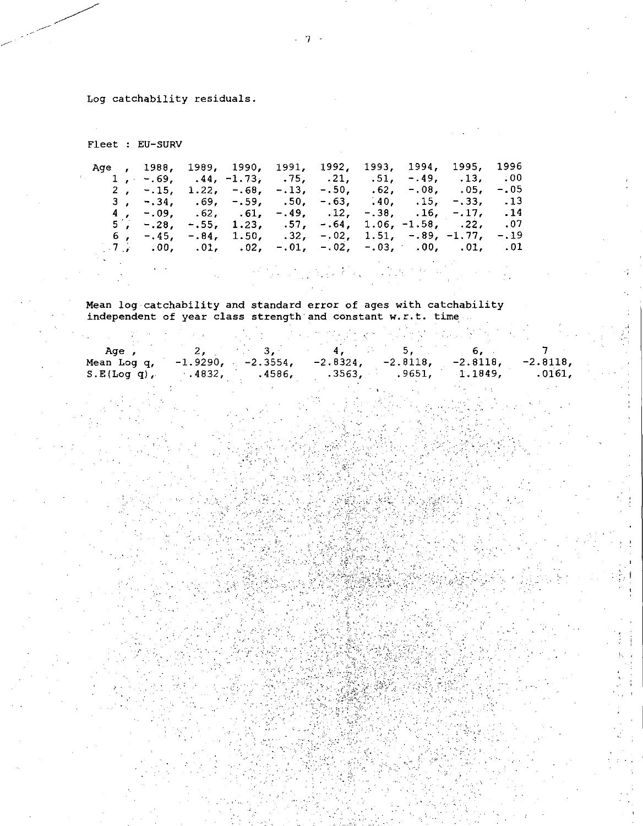Log catchability residuals.

 $\label{eq:2.1} \mathcal{L}^{(2)}_{\mathcal{L}}(\mathcal{L}_{\mathcal{L}}) = \mathcal{L}^{(2)}_{\mathcal{L}}(\mathcal{L}_{\mathcal{L}}) = \mathcal{L}^{(2)}_{\mathcal{L}}(\mathcal{L}_{\mathcal{L}})$ 

Fleet : EU-SUAV

|  |                                                                            |  |  | Age , 1988, 1989, 1990, 1991, 1992, 1993, 1994, 1995, 1996                                                                                                                                                                                                                                                                      |         |
|--|----------------------------------------------------------------------------|--|--|---------------------------------------------------------------------------------------------------------------------------------------------------------------------------------------------------------------------------------------------------------------------------------------------------------------------------------|---------|
|  |                                                                            |  |  | 1, $-69$ , $-44$ , $-1.73$ , $-75$ , $-21$ , $-51$ , $-49$ , $-13$ , $-00$                                                                                                                                                                                                                                                      |         |
|  |                                                                            |  |  | 2, $-.15$ , $1.22$ , $-.68$ , $-.13$ , $-.50$ , $.62$ , $-.08$ , $.05$ ,                                                                                                                                                                                                                                                        | $-0.05$ |
|  |                                                                            |  |  | 3, $-.34$ , $.69$ , $-.59$ , $.50$ , $-.63$ , $.40$ , $.15$ , $-.33$ , $.13$                                                                                                                                                                                                                                                    |         |
|  |                                                                            |  |  | 4, -.09, .62, .61, -.49, .12, -.38, .16, -.17, .14                                                                                                                                                                                                                                                                              |         |
|  | 5, $-.28$ , $-.55$ , $1.23$ , $.57$ , $-.64$ , $1.06$ , $-1.58$ , $.22$ ,  |  |  |                                                                                                                                                                                                                                                                                                                                 | .07     |
|  | 6, $-.45$ , $-.84$ , $1.50$ , $.32$ , $-.02$ , $1.51$ , $-.89$ , $-1.77$ , |  |  |                                                                                                                                                                                                                                                                                                                                 | $-.19$  |
|  |                                                                            |  |  | $\frac{1}{2}$ , $\frac{1}{2}$ , $\frac{1}{2}$ , $\frac{1}{2}$ , $\frac{1}{2}$ , $\frac{1}{2}$ , $\frac{1}{2}$ , $\frac{1}{2}$ , $\frac{1}{2}$ , $\frac{1}{2}$ , $\frac{1}{2}$ , $\frac{1}{2}$ , $\frac{1}{2}$ , $\frac{1}{2}$ , $\frac{1}{2}$ , $\frac{1}{2}$ , $\frac{1}{2}$ , $\frac{1}{2}$ , $\frac{1}{2}$ , $\frac{1}{2}$ , |         |
|  |                                                                            |  |  |                                                                                                                                                                                                                                                                                                                                 |         |

Mean log catchability and standard error of ages with catchability independent of year class strength and constant w.r.t. time

| Aae            |        |                                                                       |        |         |           |
|----------------|--------|-----------------------------------------------------------------------|--------|---------|-----------|
| Mean Log q,    |        | $-1.9290$ , $-2.3554$ , $-2.8324$ , $-2.8118$ , $-2.8118$ , $-2.8118$ |        |         |           |
| $S.E(Log q)$ . | .4832. | .3563.<br>.4586.                                                      | .9651. | 1.1849. | $.0161$ , |
|                |        |                                                                       |        |         |           |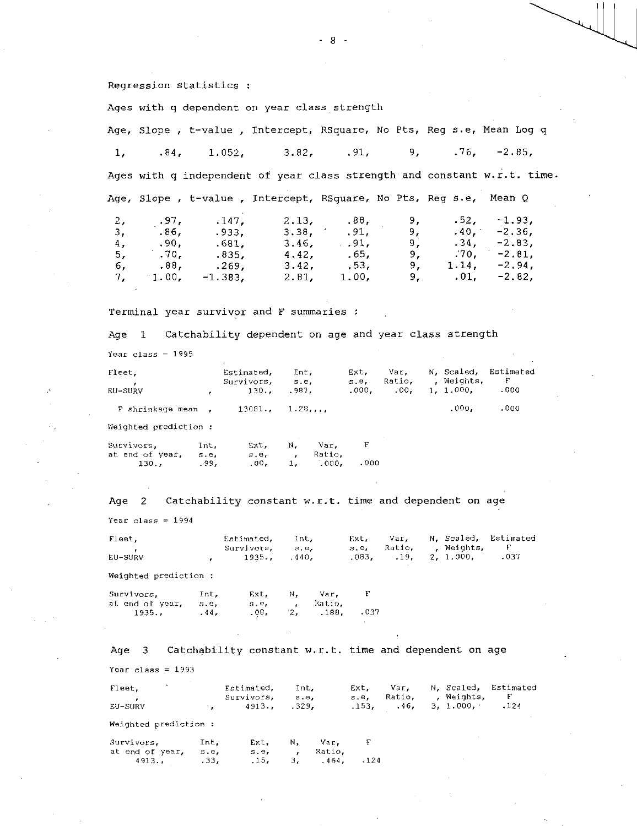Regression statistics :

Age, Slope , t-value , Intercept, RSquare, No Pts, Reg s.e, Mean Log q 1, .84, 1.052, 3.82, .91, 9, .76, -2.85, Ages with q independent of year class strength and constant w.r.t. time. Age, Slope , t-value , Intercept, RSquare, No Pts, Reg s.e, Mean Q 2, .97, .147, 2.13, .88, 9, .52, -1.93, 3, .86, .933, 3.38, .91, 9, .40, -2.36, 4, .90, .681, 3.46, .91, 9, .34, -2.83, 5, .70, .835, 4.42, .65, 9, .70, -2.81, 6, .88, .269, 3.42, .53, 9, 1.14, -2.94, 7, 1.00, -1.383, 2.81, 1.00, 9, .01, -2.82,

Terminal year survivor and F summaries

Ages with q dependent on year class strength

Age 1 Catchability dependent on age and year class strength

Year class = 1995

|                       | Estimated.<br>Survivors,<br>130 |         |                | Ext.<br>s.e.<br>.000.                  | Var,<br>Ratio.<br>.00. |      |       | Estimated<br>F<br>.000                |
|-----------------------|---------------------------------|---------|----------------|----------------------------------------|------------------------|------|-------|---------------------------------------|
| P shrinkage mean.     | 13081.                          |         |                |                                        |                        |      | .000. | .000                                  |
| Weighted prediction : |                                 |         |                |                                        |                        |      |       |                                       |
| Int.<br>s.e.          | Ext.<br>s.e.                    | N,<br>, | Var.<br>Ratio. | F                                      |                        |      |       |                                       |
|                       | .99.                            | .00,    | 1.             | Int.<br>s.e.<br>.987.<br>1.28<br>.000. |                        | .000 |       | N. Scaled.<br>, Weights,<br>1, 1.000, |

Age 2 Catchability constant w.r.t. time and dependent on age

Year  $class = 1994$ 

| Fleet.  | Estimated Int. |  |  |                          | Ext. Var. N. Scaled. Estimated |
|---------|----------------|--|--|--------------------------|--------------------------------|
|         | Survivors s.e. |  |  | s.e. Ratio, , Weights, F |                                |
| EU-SURV | 1935. 440.     |  |  | .083, 19, 2, 1.000, 037  |                                |

Weighted prediction :

| Survivors,      | Int.  | Fxt. | N. | Var.   |      |
|-----------------|-------|------|----|--------|------|
| at end of year, | S. C. | S.C. |    | Ratio. |      |
| 1935            | .44.  | .08, |    | .188.  | .037 |

at end of year, s.e, s.e, , Ratio,<br>4913., .33, .15, 3, .464,

4913., .33, .15, 3, .464, .124

| Age 3                 |      | Catchability constant w.r.t. time and dependent on age |                        |      |                       |                        |                                       |                         |
|-----------------------|------|--------------------------------------------------------|------------------------|------|-----------------------|------------------------|---------------------------------------|-------------------------|
| Year class = 1993     |      |                                                        |                        |      |                       |                        |                                       |                         |
| Fleet,<br>EU-SURV     |      | Estimated,<br>Survivors,<br>4913                       | Int.<br>5. e.<br>.329. |      | Ext.<br>s.e,<br>.153. | Var.<br>Ratio.<br>.46. | N, Scaled,<br>, Weights,<br>3, 1.000, | Estimated<br>F.<br>.124 |
| Weighted prediction : |      |                                                        |                        |      |                       |                        |                                       |                         |
| Survivors.            | Int. | Ext.                                                   | N,                     | Var. | E                     |                        |                                       |                         |

 $-8 -$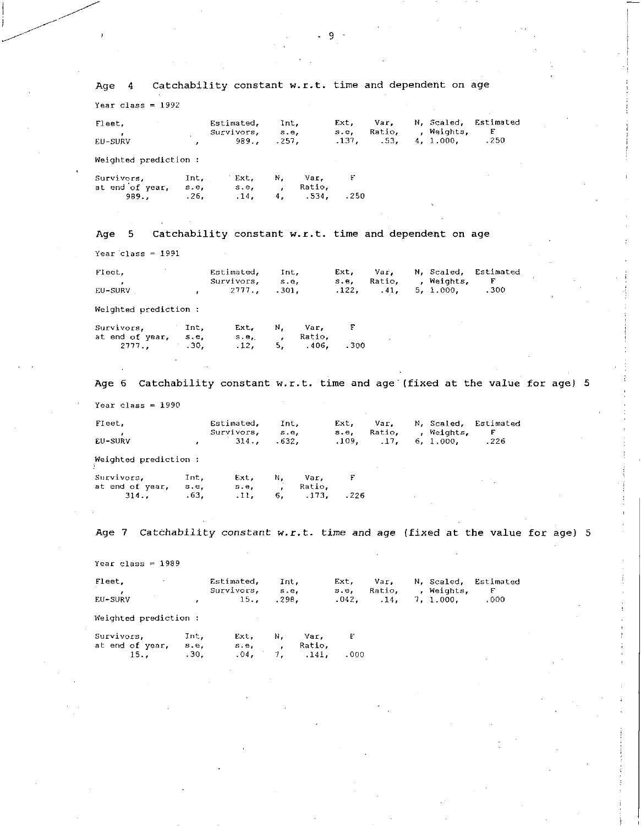Year class  $= 1992$ Fleet, Estimated, Int, Ext, Var, N, Scaled, Estimated<br>
, Survivors, s.e, s.e, Ratio, , Weights, F vors, s.e, s.e, Ratio, , Weights,<br>989., .257, .137, .53, 4, 1.000, EU-SUAV 989., .257, .137, .53, 4, 1.000, .250 Weighted prediction :  $\mathbf{F}$ Survivors, Int, Ext, N, Var, at end of year, s.e, s.e, , Ratio, 989., .26, .14, 4, .534, .250

# Age 5 Catchability constant w.r.t. time and dependent on age

Age 4 Catchability constant w.r.t. time and dependent on age

Year class  $= 1991$ 

it

| Flect.  | Estimated. Int.                   |  |  |                                                     | Ext. Var. N. Scaled. Estimated |
|---------|-----------------------------------|--|--|-----------------------------------------------------|--------------------------------|
| EU-SURV | Survivors, s.e.<br>$2777.$ $301.$ |  |  | s.e, Ratio, ,Weights, F<br>.122, 41, 5, 1.000, .300 |                                |
|         |                                   |  |  |                                                     |                                |

Weighted prediction :

| Survivors,      | Int. | Ext. | N. | Var.    |      |
|-----------------|------|------|----|---------|------|
| at end of vear. | s.e. | se,  |    | . Ratio |      |
| 2777. 30.       |      | .12. |    | .406.   | .300 |

Age  $6$  Catchability constant w.r.t. time and age (fixed at the value for age) 5

Year class  $= 1990$ 

| Fleet.  | Estimated, Int,   |  |  |                          | Ext, Var, N, Scaled, Estimated |
|---------|-------------------|--|--|--------------------------|--------------------------------|
|         | Survivors, s.e.   |  |  | s.e, Ratio, ,,Weights, F |                                |
| EU-SURV | $\,$ , 314., 632. |  |  | .109, 17, 6, 1,000, 226  |                                |

Weighted prediction :

| Survivors.      | Int. | Ext.  | Ν. | Var.   |       |
|-----------------|------|-------|----|--------|-------|
| at end of year. | s.e. | s e a |    | Ratio. |       |
| $314.$ , 63,    |      | .11.  | 6. | 173.   | . 226 |

Age 7 Catchability constant w.r.t. time and age (fixed at the value for age) 5

Year class = 1989

| Fleet.  | Estimated.      | Int.       |  |                                    | Ext, Var, N, Scaled, Estimated |
|---------|-----------------|------------|--|------------------------------------|--------------------------------|
|         | Survivors, s.e. |            |  | s.e, Ratio, , Weights, F           |                                |
| EU-SURV |                 | 15., .298. |  | $.042.$ $.14.$ $.7.1.000.$ $.000.$ |                                |

Weighted prediction :

| Survivors.      | Int. | Ext. | Ν. | Var.   |     |  |
|-----------------|------|------|----|--------|-----|--|
| at end of year. | s.e. | se s |    | Ratio. |     |  |
| $15.2 \t30.$    |      | .04. | 7. | .141.  | 000 |  |

 $-9 -$